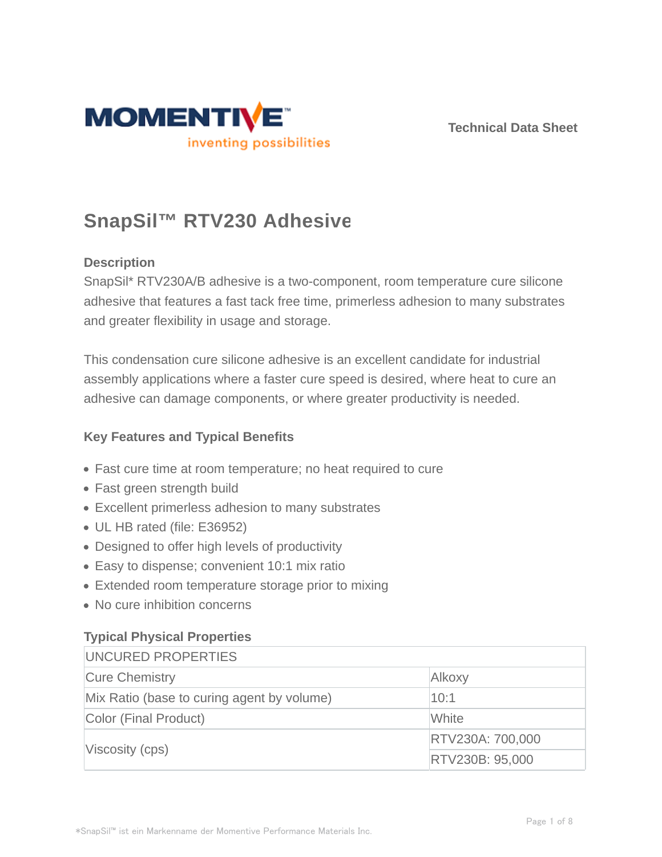



# **SnapSil™ RTV230 Adhesive**

### **Description**

SnapSil\* RTV230A/B adhesive is a two-component, room temperature cure silicone adhesive that features a fast tack free time, primerless adhesion to many substrates and greater flexibility in usage and storage.

This condensation cure silicone adhesive is an excellent candidate for industrial assembly applications where a faster cure speed is desired, where heat to cure an adhesive can damage components, or where greater productivity is needed.

#### **Key Features and Typical Benefits**

- Fast cure time at room temperature; no heat required to cure
- Fast green strength build
- Excellent primerless adhesion to many substrates
- UL HB rated (file: E36952)
- Designed to offer high levels of productivity
- Easy to dispense; convenient 10:1 mix ratio
- Extended room temperature storage prior to mixing
- No cure inhibition concerns

# **Typical Physical Properties**

| UNCURED PROPERTIES                         |                  |  |
|--------------------------------------------|------------------|--|
| <b>Cure Chemistry</b>                      | Alkoxy           |  |
| Mix Ratio (base to curing agent by volume) | 10:1             |  |
| Color (Final Product)                      | White            |  |
| Viscosity (cps)                            | RTV230A: 700,000 |  |
|                                            | RTV230B: 95,000  |  |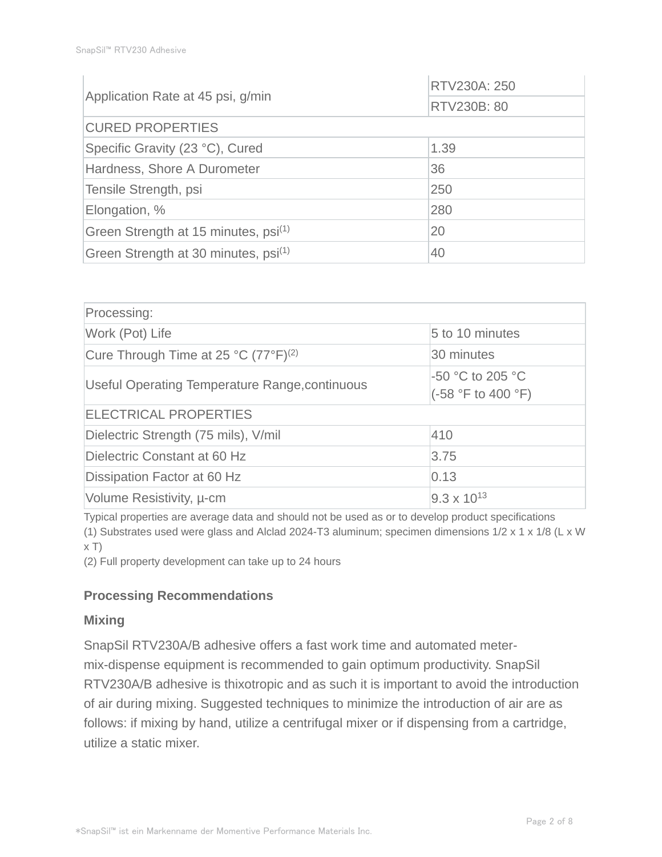|                                                  | RTV230A: 250 |  |
|--------------------------------------------------|--------------|--|
| Application Rate at 45 psi, g/min                | RTV230B: 80  |  |
| <b>CURED PROPERTIES</b>                          |              |  |
| Specific Gravity (23 °C), Cured                  | 1.39         |  |
| Hardness, Shore A Durometer                      | 36           |  |
| Tensile Strength, psi                            | 250          |  |
| Elongation, %                                    | 280          |  |
| Green Strength at 15 minutes, psi <sup>(1)</sup> | 20           |  |
| Green Strength at 30 minutes, psi <sup>(1)</sup> | 40           |  |

| Processing:                                      |                                        |  |  |  |
|--------------------------------------------------|----------------------------------------|--|--|--|
| Work (Pot) Life                                  | 5 to 10 minutes                        |  |  |  |
| Cure Through Time at 25 °C (77°F) <sup>(2)</sup> | 30 minutes                             |  |  |  |
| Useful Operating Temperature Range, continuous   | -50 °C to 205 °C<br>(-58 °F to 400 °F) |  |  |  |
| <b>ELECTRICAL PROPERTIES</b>                     |                                        |  |  |  |
| Dielectric Strength (75 mils), V/mil             | 1410                                   |  |  |  |
| Dielectric Constant at 60 Hz                     | 3.75                                   |  |  |  |
| Dissipation Factor at 60 Hz                      | 0.13                                   |  |  |  |
| Volume Resistivity, u-cm                         | $9.3 \times 10^{13}$                   |  |  |  |

Typical properties are average data and should not be used as or to develop product specifications (1) Substrates used were glass and Alclad 2024-T3 aluminum; specimen dimensions 1/2 x 1 x 1/8 (L x W  $x T$ 

(2) Full property development can take up to 24 hours

#### **Processing Recommendations**

#### **Mixing**

SnapSil RTV230A/B adhesive offers a fast work time and automated metermix-dispense equipment is recommended to gain optimum productivity. SnapSil RTV230A/B adhesive is thixotropic and as such it is important to avoid the introduction of air during mixing. Suggested techniques to minimize the introduction of air are as follows: if mixing by hand, utilize a centrifugal mixer or if dispensing from a cartridge, utilize a static mixer.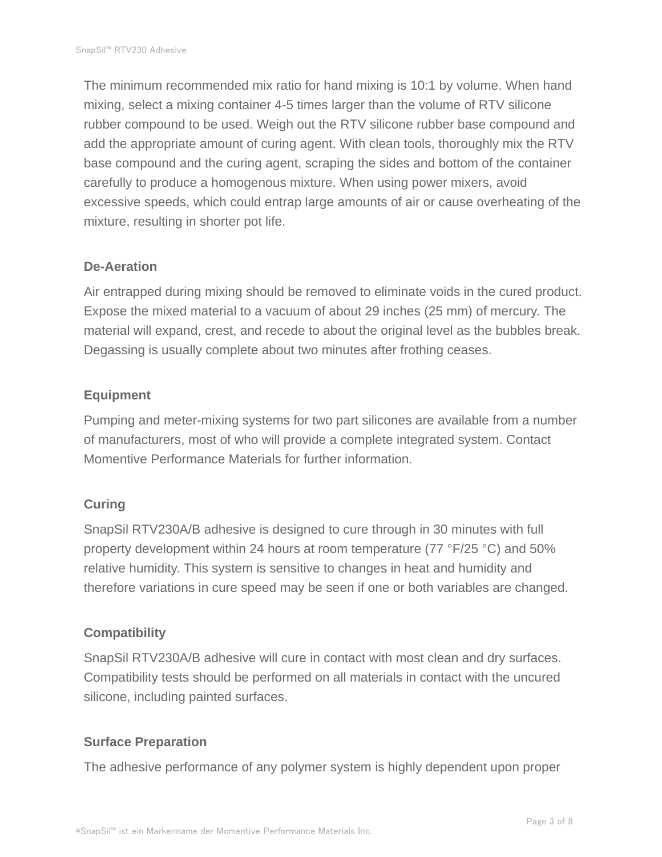The minimum recommended mix ratio for hand mixing is 10:1 by volume. When hand mixing, select a mixing container 4-5 times larger than the volume of RTV silicone rubber compound to be used. Weigh out the RTV silicone rubber base compound and add the appropriate amount of curing agent. With clean tools, thoroughly mix the RTV base compound and the curing agent, scraping the sides and bottom of the container carefully to produce a homogenous mixture. When using power mixers, avoid excessive speeds, which could entrap large amounts of air or cause overheating of the mixture, resulting in shorter pot life.

#### **De-Aeration**

Air entrapped during mixing should be removed to eliminate voids in the cured product. Expose the mixed material to a vacuum of about 29 inches (25 mm) of mercury. The material will expand, crest, and recede to about the original level as the bubbles break. Degassing is usually complete about two minutes after frothing ceases.

### **Equipment**

Pumping and meter-mixing systems for two part silicones are available from a number of manufacturers, most of who will provide a complete integrated system. Contact Momentive Performance Materials for further information.

#### **Curing**

SnapSil RTV230A/B adhesive is designed to cure through in 30 minutes with full property development within 24 hours at room temperature (77 °F/25 °C) and 50% relative humidity. This system is sensitive to changes in heat and humidity and therefore variations in cure speed may be seen if one or both variables are changed.

#### **Compatibility**

SnapSil RTV230A/B adhesive will cure in contact with most clean and dry surfaces. Compatibility tests should be performed on all materials in contact with the uncured silicone, including painted surfaces.

#### **Surface Preparation**

The adhesive performance of any polymer system is highly dependent upon proper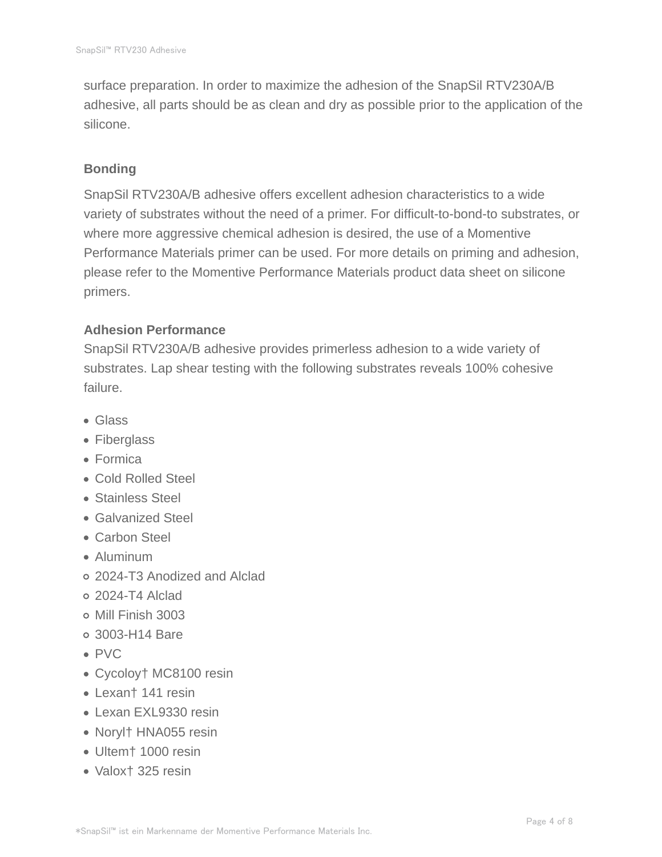surface preparation. In order to maximize the adhesion of the SnapSil RTV230A/B adhesive, all parts should be as clean and dry as possible prior to the application of the silicone.

#### **Bonding**

SnapSil RTV230A/B adhesive offers excellent adhesion characteristics to a wide variety of substrates without the need of a primer. For difficult-to-bond-to substrates, or where more aggressive chemical adhesion is desired, the use of a Momentive Performance Materials primer can be used. For more details on priming and adhesion, please refer to the Momentive Performance Materials product data sheet on silicone primers.

### **Adhesion Performance**

SnapSil RTV230A/B adhesive provides primerless adhesion to a wide variety of substrates. Lap shear testing with the following substrates reveals 100% cohesive failure.

- Glass
- Fiberglass
- Formica
- Cold Rolled Steel
- Stainless Steel
- Galvanized Steel
- Carbon Steel
- Aluminum
- 2024-T3 Anodized and Alclad
- 2024-T4 Alclad
- Mill Finish 3003
- 3003-H14 Bare
- PVC
- Cycoloy† MC8100 resin
- Lexan† 141 resin
- Lexan EXL9330 resin
- Noryl† HNA055 resin
- Ultem† 1000 resin
- Valox† 325 resin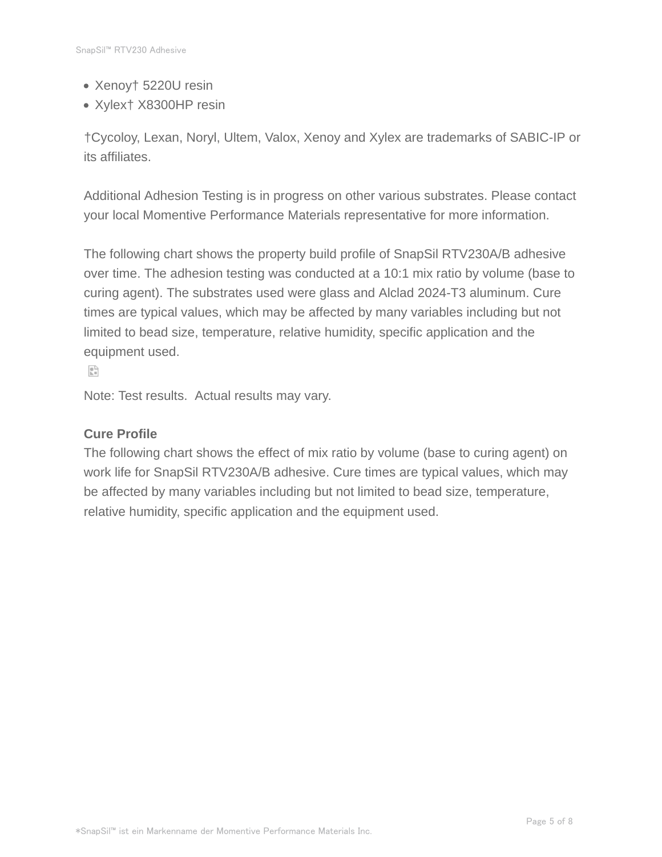- Xenoy† 5220U resin
- Xylex† X8300HP resin

†Cycoloy, Lexan, Noryl, Ultem, Valox, Xenoy and Xylex are trademarks of SABIC-IP or its affiliates.

Additional Adhesion Testing is in progress on other various substrates. Please contact your local Momentive Performance Materials representative for more information.

The following chart shows the property build profile of SnapSil RTV230A/B adhesive over time. The adhesion testing was conducted at a 10:1 mix ratio by volume (base to curing agent). The substrates used were glass and Alclad 2024-T3 aluminum. Cure times are typical values, which may be affected by many variables including but not limited to bead size, temperature, relative humidity, specific application and the equipment used.

 $\mathbb{R}^3$ 

Note: Test results. Actual results may vary.

#### **Cure Profile**

The following chart shows the effect of mix ratio by volume (base to curing agent) on work life for SnapSil RTV230A/B adhesive. Cure times are typical values, which may be affected by many variables including but not limited to bead size, temperature, relative humidity, specific application and the equipment used.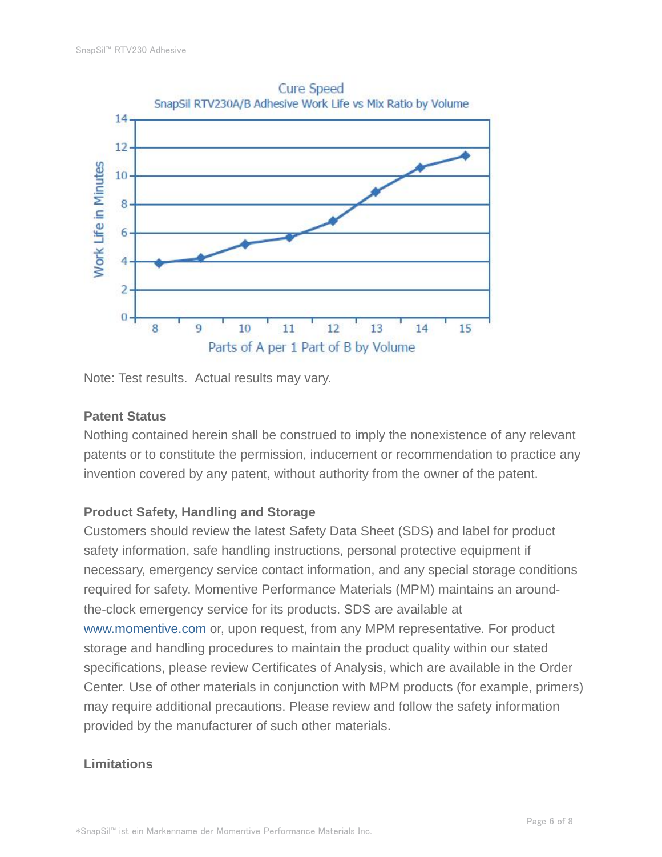

Note: Test results. Actual results may vary.

#### **Patent Status**

Nothing contained herein shall be construed to imply the nonexistence of any relevant patents or to constitute the permission, inducement or recommendation to practice any invention covered by any patent, without authority from the owner of the patent.

# **Product Safety, Handling and Storage**

Customers should review the latest Safety Data Sheet (SDS) and label for product safety information, safe handling instructions, personal protective equipment if necessary, emergency service contact information, and any special storage conditions required for safety. Momentive Performance Materials (MPM) maintains an aroundthe-clock emergency service for its products. SDS are available at www.momentive.com or, upon request, from any MPM representative. For product storage and handling procedures to maintain the product quality within our stated specifications, please review Certificates of Analysis, which are available in the Order Center. Use of other materials in conjunction with MPM products (for example, primers) may require additional precautions. Please review and follow the safety information provided by the manufacturer of such other materials.

#### **Limitations**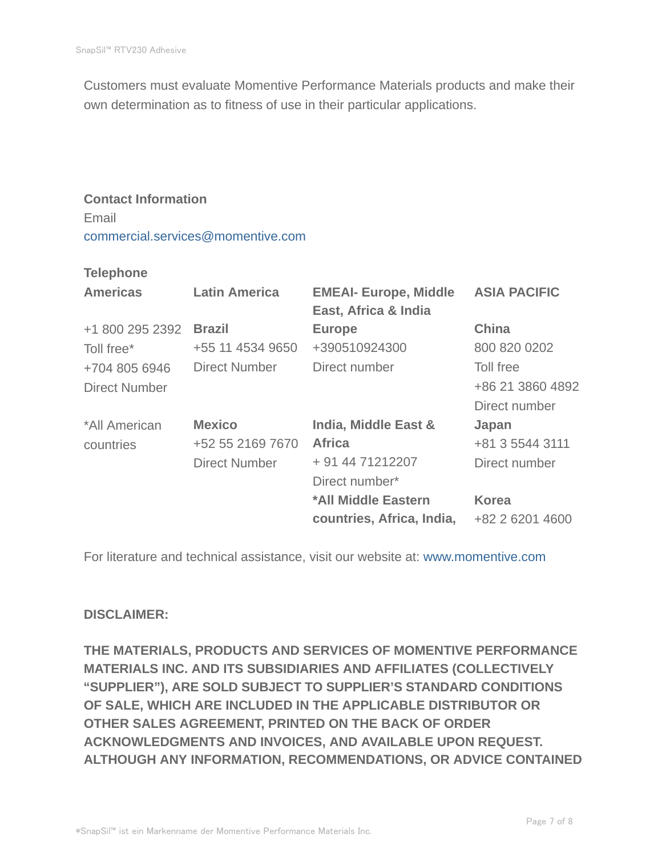Customers must evaluate Momentive Performance Materials products and make their own determination as to fitness of use in their particular applications.

# **Contact Information** Email commercial.services@momentive.com

#### **Telephone**

| <b>Americas</b>      | <b>Latin America</b> | <b>EMEAI- Europe, Middle</b><br>East, Africa & India | <b>ASIA PACIFIC</b> |
|----------------------|----------------------|------------------------------------------------------|---------------------|
| +1 800 295 2392      | <b>Brazil</b>        | <b>Europe</b>                                        | <b>China</b>        |
| Toll free*           | +55 11 4534 9650     | +390510924300                                        | 800 820 0202        |
| +704 805 6946        | <b>Direct Number</b> | Direct number                                        | Toll free           |
| <b>Direct Number</b> |                      |                                                      | +86 21 3860 4892    |
|                      |                      |                                                      | Direct number       |
| *All American        | <b>Mexico</b>        | India, Middle East &                                 | Japan               |
| countries            | +52 55 2169 7670     | <b>Africa</b>                                        | +81 3 5544 3111     |
|                      | <b>Direct Number</b> | + 91 44 71212207                                     | Direct number       |
|                      |                      | Direct number*                                       |                     |
|                      |                      | *All Middle Eastern                                  | <b>Korea</b>        |
|                      |                      | countries, Africa, India,                            | +82 2 6201 4600     |

For literature and technical assistance, visit our website at: www.momentive.com

#### **DISCLAIMER:**

**THE MATERIALS, PRODUCTS AND SERVICES OF MOMENTIVE PERFORMANCE MATERIALS INC. AND ITS SUBSIDIARIES AND AFFILIATES (COLLECTIVELY "SUPPLIER"), ARE SOLD SUBJECT TO SUPPLIER'S STANDARD CONDITIONS OF SALE, WHICH ARE INCLUDED IN THE APPLICABLE DISTRIBUTOR OR OTHER SALES AGREEMENT, PRINTED ON THE BACK OF ORDER ACKNOWLEDGMENTS AND INVOICES, AND AVAILABLE UPON REQUEST. ALTHOUGH ANY INFORMATION, RECOMMENDATIONS, OR ADVICE CONTAINED**